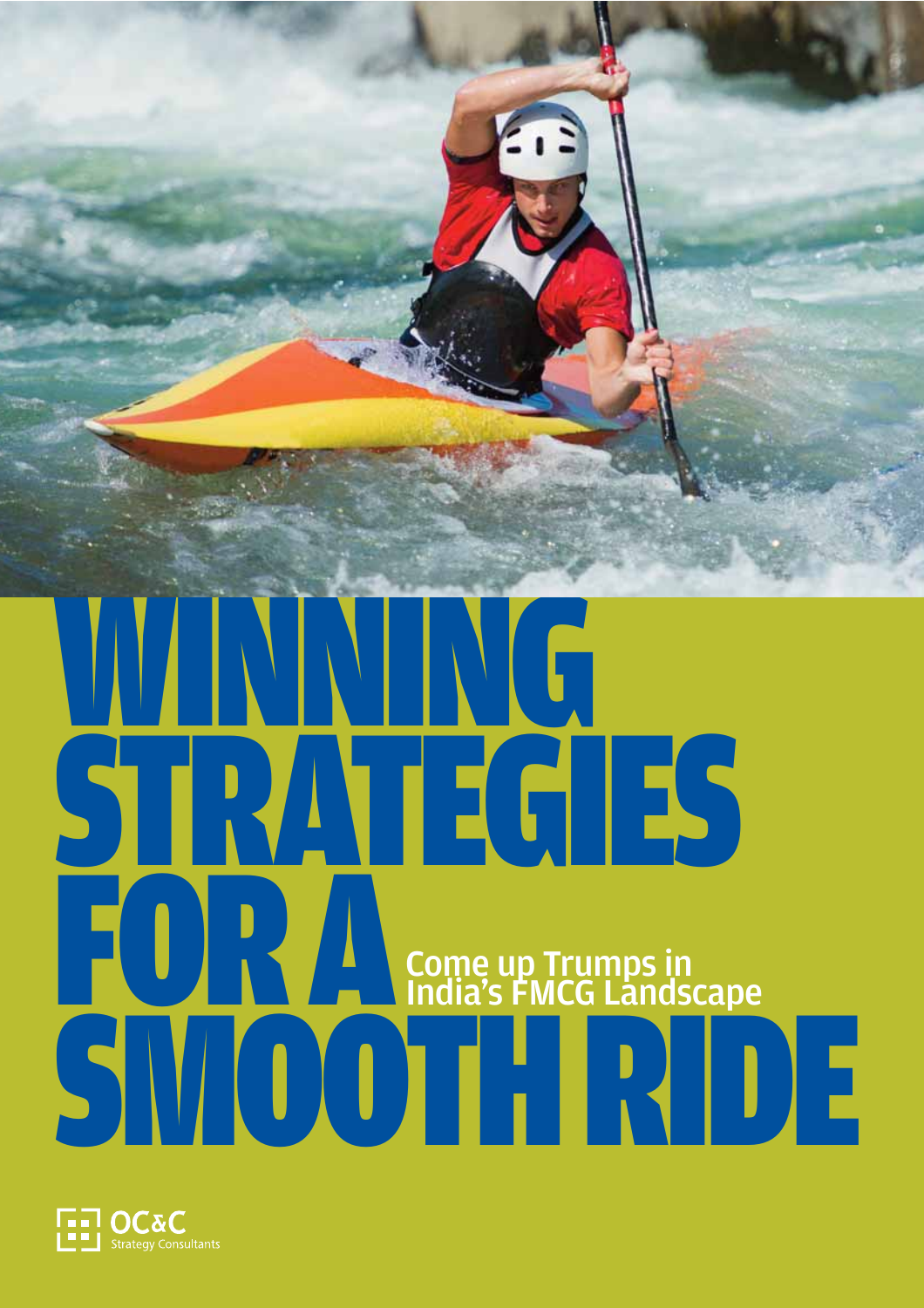

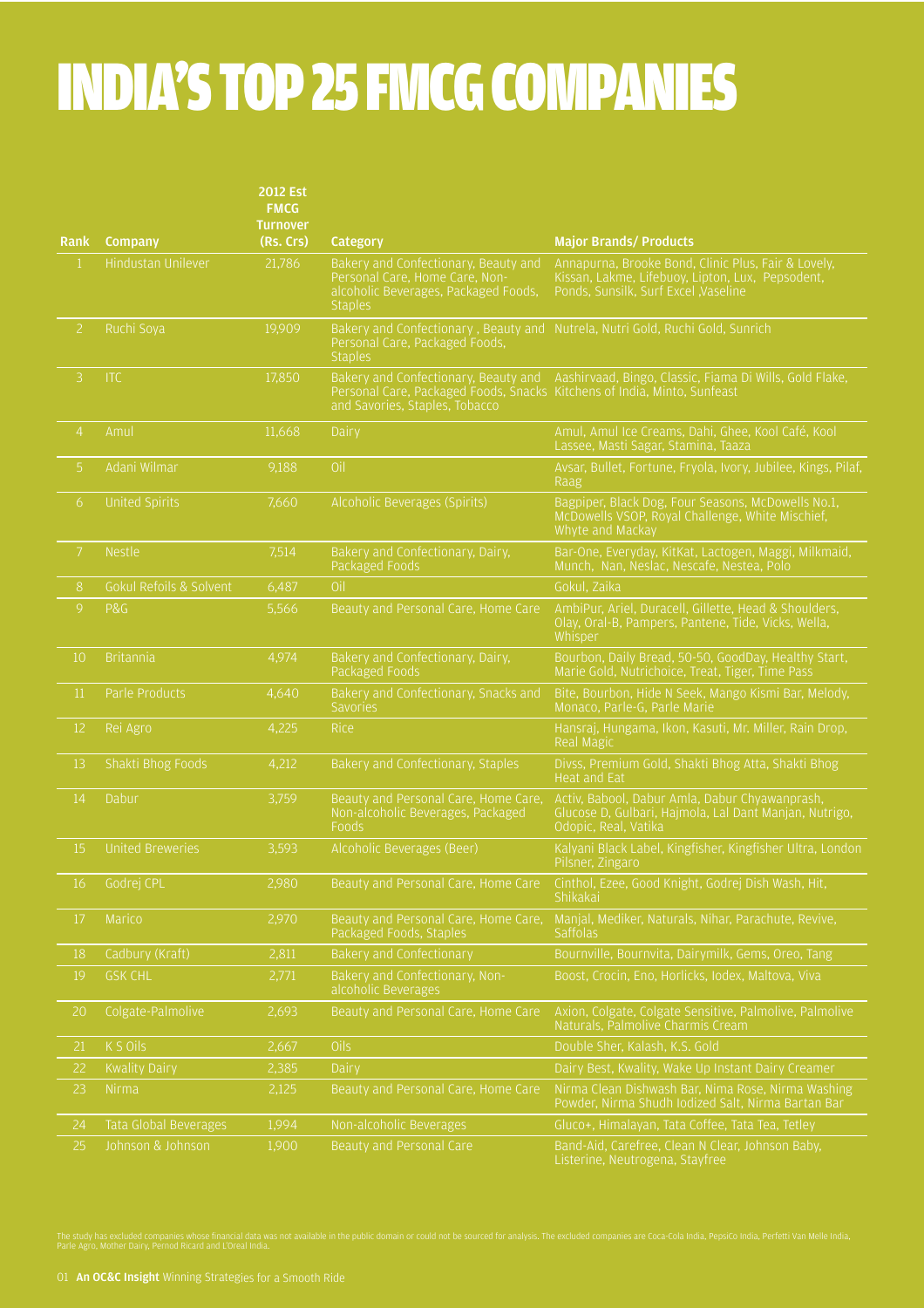# INDIA'S TOP 25 FMCG COMPANIES

|                |                         | <b>2012 Est</b><br><b>FMCG</b><br><b>Turnover</b> |                                                                                                                                  |                                                                                                                                                  |
|----------------|-------------------------|---------------------------------------------------|----------------------------------------------------------------------------------------------------------------------------------|--------------------------------------------------------------------------------------------------------------------------------------------------|
| Rank           | <b>Company</b>          | (Rs. Crs)                                         | Category                                                                                                                         | <b>Major Brands/ Products</b>                                                                                                                    |
| $\mathbf{1}$   | Hindustan Unilever      | 21,786                                            | Bakery and Confectionary, Beauty and<br>Personal Care, Home Care, Non-<br>alcoholic Beverages, Packaged Foods,<br><b>Staples</b> | Annapurna, Brooke Bond, Clinic Plus, Fair & Lovely,<br>Kissan, Lakme, Lifebuoy, Lipton, Lux, Pepsodent,<br>Ponds, Sunsilk, Surf Excel , Vaseline |
| $\mathbf{2}$   | Ruchi Soya              | 19,909                                            | Personal Care, Packaged Foods,<br><b>Staples</b>                                                                                 | Bakery and Confectionary, Beauty and Nutrela, Nutri Gold, Ruchi Gold, Sunrich                                                                    |
| 3 <sup>1</sup> | <b>ITC</b>              | 17,850                                            | Personal Care, Packaged Foods, Snacks Kitchens of India, Minto, Sunfeast<br>and Savories, Staples, Tobacco                       | Bakery and Confectionary, Beauty and Aashirvaad, Bingo, Classic, Fiama Di Wills, Gold Flake,                                                     |
| $\overline{4}$ | Amul                    | 11,668                                            | Dairy                                                                                                                            | Amul, Amul Ice Creams, Dahi, Ghee, Kool Café, Kool<br>Lassee, Masti Sagar, Stamina, Taaza                                                        |
| 5 <sup>1</sup> | Adani Wilmar            | 9,188                                             | Oil                                                                                                                              | Avsar, Bullet, Fortune, Fryola, Ivory, Jubilee, Kings, Pilaf,<br>Raag                                                                            |
| 6              | <b>United Spirits</b>   | 7,660                                             | Alcoholic Beverages (Spirits)                                                                                                    | Bagpiper, Black Dog, Four Seasons, McDowells No.1,<br>McDowells VSOP, Royal Challenge, White Mischief,<br>Whyte and Mackay                       |
| 7 <sup>1</sup> | <b>Nestle</b>           | 7,514                                             | Bakery and Confectionary, Dairy,<br>Packaged Foods                                                                               | Bar-One, Everyday, KitKat, Lactogen, Maggi, Milkmaid,<br>Munch, Nan, Neslac, Nescafe, Nestea, Polo                                               |
| 8              | Gokul Refoils & Solvent | 6,487                                             | Oil                                                                                                                              | Gokul, Zaika                                                                                                                                     |
| 9              | P&G                     | 5,566                                             | Beauty and Personal Care, Home Care                                                                                              | AmbiPur, Ariel, Duracell, Gillette, Head & Shoulders,<br>Olay, Oral-B, Pampers, Pantene, Tide, Vicks, Wella,<br>Whisper                          |
| 10             | <b>Britannia</b>        | 4,974                                             | Bakery and Confectionary, Dairy,<br>Packaged Foods                                                                               | Bourbon, Daily Bread, 50-50, GoodDay, Healthy Start,<br>Marie Gold, Nutrichoice, Treat, Tiger, Time Pass                                         |
| 11             | Parle Products          | 4,640                                             | Bakery and Confectionary, Snacks and<br><b>Savories</b>                                                                          | Bite, Bourbon, Hide N Seek, Mango Kismi Bar, Melody,<br>Monaco, Parle-G, Parle Marie                                                             |
| 12             | Rei Agro                | 4,225                                             | <b>Rice</b>                                                                                                                      | Hansraj, Hungama, Ikon, Kasuti, Mr. Miller, Rain Drop,<br>Real Magic                                                                             |
| 13             | Shakti Bhog Foods       | 4,212                                             | Bakery and Confectionary, Staples                                                                                                | Divss, Premium Gold, Shakti Bhog Atta, Shakti Bhog<br><b>Heat and Eat</b>                                                                        |
| 14             | Dabur                   | 3,759                                             | Beauty and Personal Care, Home Care,<br>Non-alcoholic Beverages, Packaged<br>Foods                                               | Activ, Babool, Dabur Amla, Dabur Chyawanprash,<br>Glucose D, Gulbari, Hajmola, Lal Dant Manjan, Nutrigo,<br>Odopic, Real, Vatika                 |
| 15             | <b>United Breweries</b> | 3,593                                             | Alcoholic Beverages (Beer)                                                                                                       | Kalyani Black Label, Kingfisher, Kingfisher Ultra, London<br>Pilsner, Zingaro                                                                    |
| 16             | Godrej CPL              | 2,980                                             | Beauty and Personal Care, Home Care                                                                                              | Cinthol, Ezee, Good Knight, Godrej Dish Wash, Hit,<br>Shikakai                                                                                   |
| 17             | Marico                  | 2,970                                             | Beauty and Personal Care, Home Care,<br>Packaged Foods, Staples                                                                  | Manjal, Mediker, Naturals, Nihar, Parachute, Revive,<br><b>Saffolas</b>                                                                          |
| 18             | Cadbury (Kraft)         | 2,811                                             | <b>Bakery and Confectionary</b>                                                                                                  | Bournville, Bournvita, Dairymilk, Gems, Oreo, Tang                                                                                               |
| 19             | <b>GSK CHL</b>          | 2,771                                             | Bakery and Confectionary, Non-<br>alcoholic Beverages                                                                            | Boost, Crocin, Eno, Horlicks, Iodex, Maltova, Viva                                                                                               |
| 20             | Colgate-Palmolive       | 2,693                                             | Beauty and Personal Care, Home Care                                                                                              | Axion, Colgate, Colgate Sensitive, Palmolive, Palmolive<br>Naturals, Palmolive Charmis Cream                                                     |
| 21             | K S Oils                | 2,667                                             | Oils                                                                                                                             | Double Sher, Kalash, K.S. Gold                                                                                                                   |
| 22             | <b>Kwality Dairy</b>    | 2,385                                             | Dairy                                                                                                                            | Dairy Best, Kwality, Wake Up Instant Dairy Creamer                                                                                               |
| 23             | Nirma                   | 2,125                                             | Beauty and Personal Care, Home Care                                                                                              | Nirma Clean Dishwash Bar, Nima Rose, Nirma Washing<br>Powder, Nirma Shudh Iodized Salt, Nirma Bartan Bar                                         |
| 24             | Tata Global Beverages   | 1,994                                             | Non-alcoholic Beverages                                                                                                          | Gluco+, Himalayan, Tata Coffee, Tata Tea, Tetley                                                                                                 |
| 25             | Johnson & Johnson       | 1,900                                             | Beauty and Personal Care                                                                                                         | Band-Aid, Carefree, Clean N Clear, Johnson Baby,<br>Listerine Neutrogena Stavfree                                                                |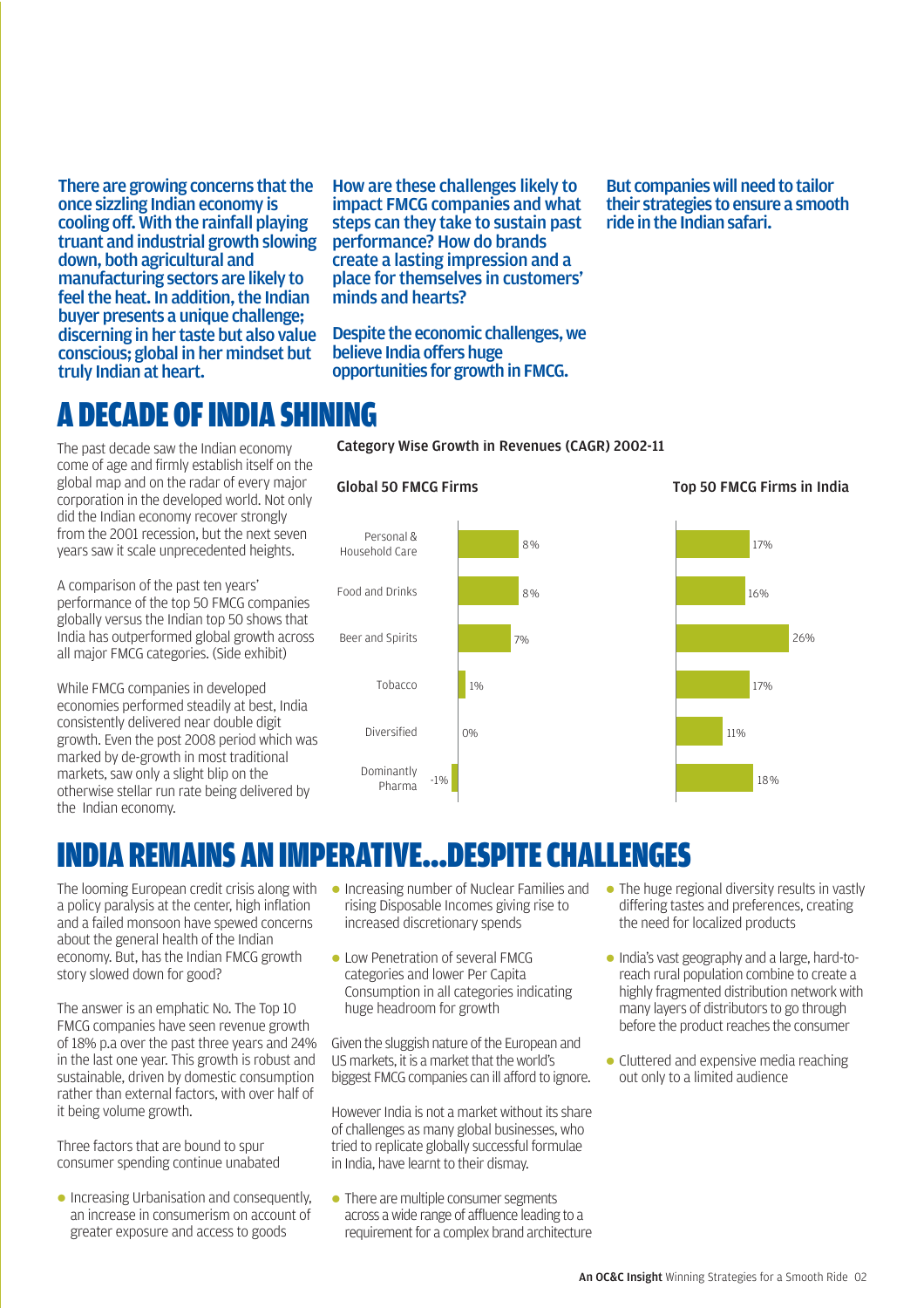There are growing concerns that the once sizzling Indian economy is cooling off. With the rainfall playing truant and industrial growth slowing down, both agricultural and manufacturing sectors are likely to feel the heat. In addition, the Indian buyer presents a unique challenge; discerning in her taste but also value conscious; global in her mindset but truly Indian at heart.

How are these challenges likely to impact FMCG companies and what steps can they take to sustain past performance? How do brands create a lasting impression and a place for themselves in customers' minds and hearts?

Despite the economic challenges, we believe India offers huge opportunities for growth in FMCG.

Category Wise Growth in Revenues (CAGR) 2002-11

But companies will need to tailor their strategies to ensure a smooth ride in the Indian safari.

### A DECADE OF INDIA SHINING

The past decade saw the Indian economy come of age and firmly establish itself on the global map and on the radar of every major corporation in the developed world. Not only did the Indian economy recover strongly from the 2001 recession, but the next seven years saw it scale unprecedented heights.

A comparison of the past ten years' performance of the top 50 FMCG companies globally versus the Indian top 50 shows that India has outperformed global growth across all major FMCG categories. (Side exhibit)

While FMCG companies in developed economies performed steadily at best, India consistently delivered near double digit growth. Even the post 2008 period which was marked by de-growth in most traditional markets, saw only a slight blip on the otherwise stellar run rate being delivered by the Indian economy.

### Global 50 FMCG Firms



### INDIA REMAINS AN IMPERATIVE...DESPITE CHALLENGES

The looming European credit crisis along with a policy paralysis at the center, high inflation and a failed monsoon have spewed concerns about the general health of the Indian economy. But, has the Indian FMCG growth story slowed down for good?

The answer is an emphatic No. The Top 10 FMCG companies have seen revenue growth of 18% p.a over the past three years and 24% in the last one year. This growth is robust and sustainable, driven by domestic consumption rather than external factors, with over half of it being volume growth.

Three factors that are bound to spur consumer spending continue unabated

**.** Increasing Urbanisation and consequently, an increase in consumerism on account of greater exposure and access to goods

- **Increasing number of Nuclear Families and** rising Disposable Incomes giving rise to increased discretionary spends
- **Low Penetration of several FMCG** categories and lower Per Capita Consumption in all categories indicating huge headroom for growth

Given the sluggish nature of the European and US markets, it is a market that the world's biggest FMCG companies can ill afford to ignore.

However India is not a market without its share of challenges as many global businesses, who tried to replicate globally successful formulae in India, have learnt to their dismay.

• There are multiple consumer segments across a wide range of affluence leading to a requirement for a complex brand architecture

- $\bullet$  The huge regional diversity results in vastly differing tastes and preferences, creating the need for localized products
- l India's vast geography and a large, hard-toreach rural population combine to create a highly fragmented distribution network with many layers of distributors to go through before the product reaches the consumer
- $\bullet$  Cluttered and expensive media reaching out only to a limited audience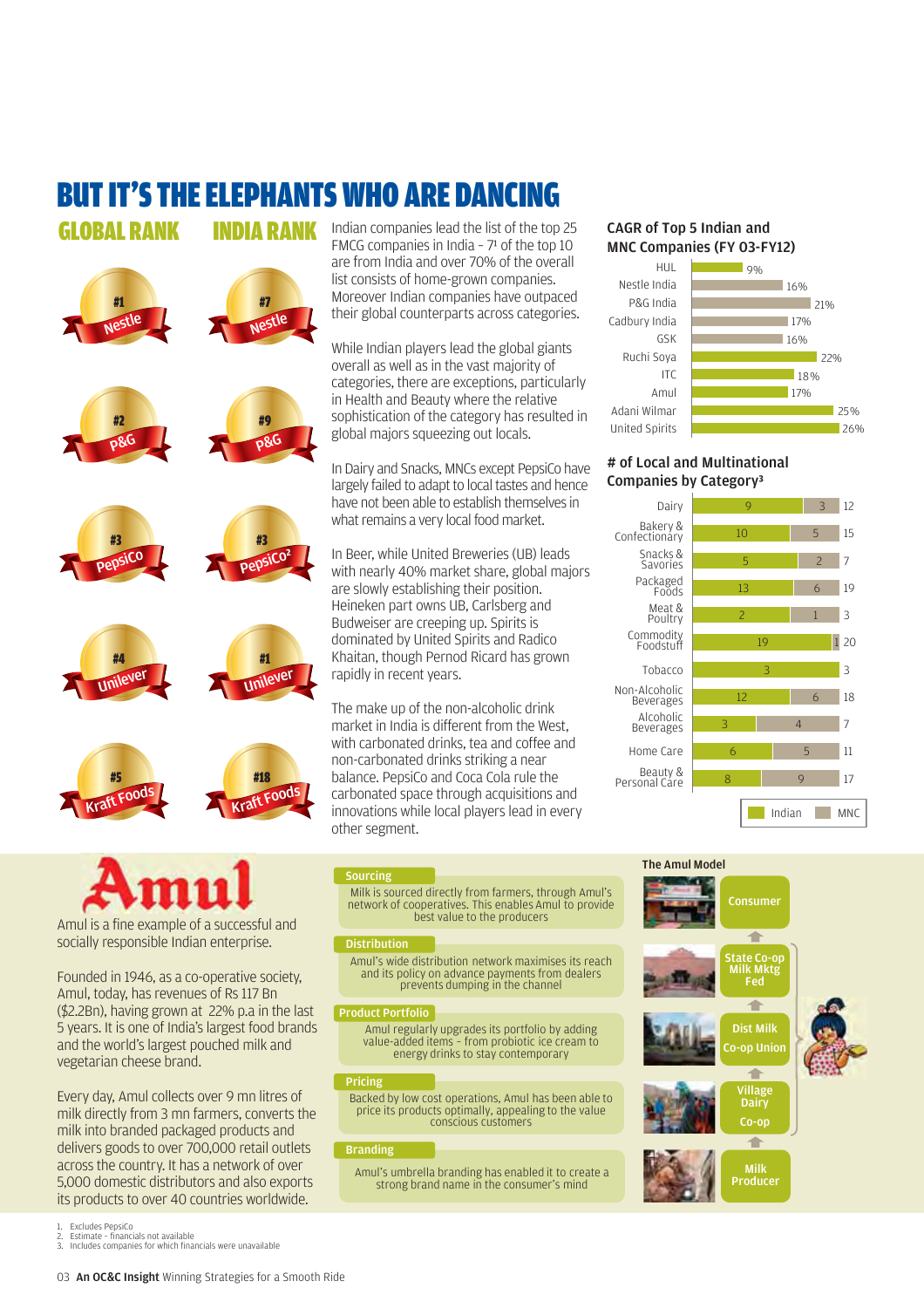## BUT IT'S THE ELEPHANTS WHO ARE DANCING

GLOBAL RANK **DIA RANK** 



Amul is a fine example of a successful and socially responsible Indian enterprise.

Founded in 1946, as a co-operative society, Amul, today, has revenues of Rs 117 Bn (\$2.2Bn), having grown at 22% p.a in the last 5 years. It is one of India's largest food brands and the world's largest pouched milk and vegetarian cheese brand.

Every day, Amul collects over 9 mn litres of milk directly from 3 mn farmers, converts the milk into branded packaged products and delivers goods to over 700,000 retail outlets across the country. It has a network of over 5,000 domestic distributors and also exports its products to over 40 countries worldwide.

Indian companies lead the list of the top 25 FMCG companies in India -  $7<sup>1</sup>$  of the top 10 are from India and over 70% of the overall list consists of home-grown companies. Moreover Indian companies have outpaced their global counterparts across categories.

While Indian players lead the global giants overall as well as in the vast majority of categories, there are exceptions, particularly in Health and Beauty where the relative sophistication of the category has resulted in global majors squeezing out locals.

In Dairy and Snacks, MNCs except PepsiCo have largely failed to adapt to local tastes and hence have not been able to establish themselves in what remains a very local food market.

In Beer, while United Breweries (UB) leads with nearly 40% market share, global majors are slowly establishing their position. Heineken part owns UB, Carlsberg and Budweiser are creeping up. Spirits is dominated by United Spirits and Radico Khaitan, though Pernod Ricard has grown rapidly in recent years.

The make up of the non-alcoholic drink market in India is different from the West, with carbonated drinks, tea and coffee and non-carbonated drinks striking a near balance. PepsiCo and Coca Cola rule the carbonated space through acquisitions and innovations while local players lead in every other segment.

#### CAGR of Top 5 Indian and MNC Companies (FY 03-FY12)



#### # of Local and Multinational Companies by Category³



#### Sourcing

Milk is sourced directly from farmers, through Amul's network of cooperatives. This enables Amul to provide best value to the producers

#### **Distribution**

Amul's wide distribution network maximises its reach and its policy on advance payments from dealers prevents dumping in the channel

#### Product Portfolio

Amul regularly upgrades its portfolio by adding value-added items – from probiotic ice cream to energy drinks to stay contemporary

#### Pricing

Backed by low cost operations, Amul has been able to price its products optimally, appealing to the value conscious customers

#### Branding

Amul's umbrella branding has enabled it to create a strong brand name in the consumer's mind



- 1. Excludes PepsiCo<br>2. Estimate financi
- 2. Estimate financials not available<br>3. Includes companies for which final 3. Includes companies for which financials were unavailable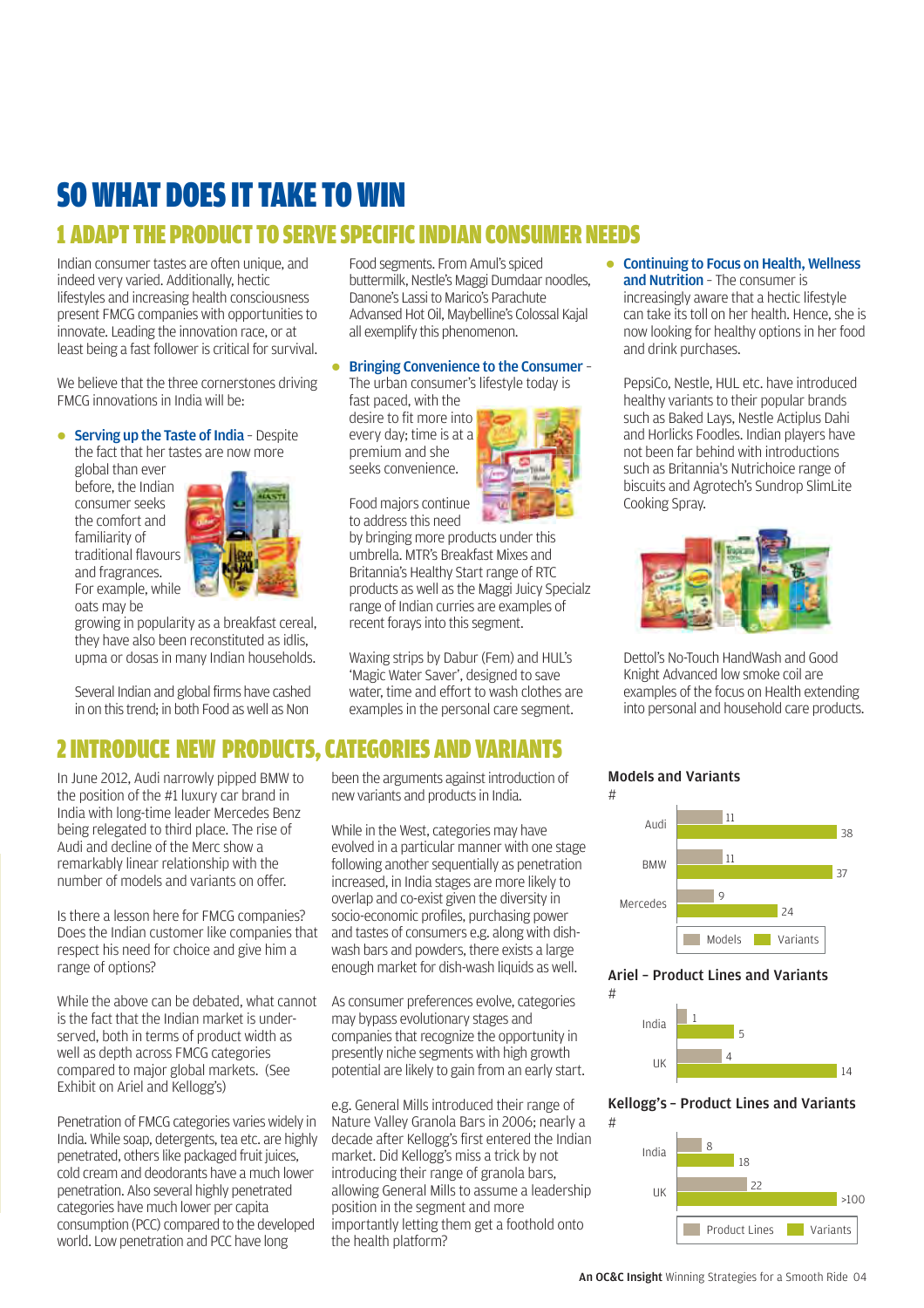### SO WHAT DOES IT TAKE TO WIN 1 ADAPT THE PRODUCT TO SERVE SPECIFIC INDIAN CONSUMER NEEDS

Indian consumer tastes are often unique, and indeed very varied. Additionally, hectic lifestyles and increasing health consciousness present FMCG companies with opportunities to innovate. Leading the innovation race, or at least being a fast follower is critical for survival.

We believe that the three cornerstones driving FMCG innovations in India will be:

#### $\bullet$  Serving up the Taste of India - Despite

the fact that her tastes are now more global than ever before, the Indian consumer seeks the comfort and familiarity of traditional flavours and fragrances. For example, while oats may be



growing in popularity as a breakfast cereal, they have also been reconstituted as idlis, upma or dosas in many Indian households.

Several Indian and global firms have cashed in on this trend; in both Food as well as Non

Food segments. From Amul's spiced buttermilk, Nestle's Maggi Dumdaar noodles, Danone's Lassi to Marico's Parachute Advansed Hot Oil, Maybelline's Colossal Kajal all exemplify this phenomenon.

#### **• Bringing Convenience to the Consumer -**

The urban consumer's lifestyle today is fast paced, with the

desire to fit more into every day; time is at a premium and she seeks convenience.



Food majors continue to address this need

by bringing more products under this umbrella. MTR's Breakfast Mixes and Britannia's Healthy Start range of RTC products as well as the Maggi Juicy Specialz range of Indian curries are examples of recent forays into this segment.

Waxing strips by Dabur (Fem) and HUL's 'Magic Water Saver', designed to save water, time and effort to wash clothes are examples in the personal care segment.

### 2 INTRODUCE NEW PRODUCTS, CATEGORIES AND VARIANTS

In June 2012, Audi narrowly pipped BMW to the position of the #1 luxury car brand in India with long-time leader Mercedes Benz being relegated to third place. The rise of Audi and decline of the Merc show a remarkably linear relationship with the number of models and variants on offer.

Is there a lesson here for FMCG companies? Does the Indian customer like companies that respect his need for choice and give him a range of options?

While the above can be debated, what cannot is the fact that the Indian market is underserved, both in terms of product width as well as depth across FMCG categories compared to major global markets. (See Exhibit on Ariel and Kellogg's)

Penetration of FMCG categories varies widely in India. While soap, detergents, tea etc. are highly penetrated, others like packaged fruit juices, cold cream and deodorants have a much lower penetration. Also several highly penetrated categories have much lower per capita consumption (PCC) compared to the developed world. Low penetration and PCC have long

been the arguments against introduction of new variants and products in India.

While in the West, categories may have evolved in a particular manner with one stage following another sequentially as penetration increased, in India stages are more likely to overlap and co-exist given the diversity in socio-economic profiles, purchasing power and tastes of consumers e.g. along with dishwash bars and powders, there exists a large enough market for dish-wash liquids as well.

As consumer preferences evolve, categories may bypass evolutionary stages and companies that recognize the opportunity in presently niche segments with high growth potential are likely to gain from an early start.

e.g. General Mills introduced their range of Nature Valley Granola Bars in 2006; nearly a decade after Kellogg's first entered the Indian market. Did Kellogg's miss a trick by not introducing their range of granola bars, allowing General Mills to assume a leadership position in the segment and more importantly letting them get a foothold onto the health platform?

**Continuing to Focus on Health, Wellness** and Nutrition - The consumer is increasingly aware that a hectic lifestyle can take its toll on her health. Hence, she is now looking for healthy options in her food and drink purchases.

PepsiCo, Nestle, HUL etc. have introduced healthy variants to their popular brands such as Baked Lays, Nestle Actiplus Dahi and Horlicks Foodles. Indian players have not been far behind with introductions such as Britannia's Nutrichoice range of biscuits and Agrotech's Sundrop SlimLite Cooking Spray.



Dettol's No-Touch HandWash and Good Knight Advanced low smoke coil are examples of the focus on Health extending into personal and household care products.

#### Models and Variants  $\overline{t}$

#

#



#### Ariel – Product Lines and Variants



Kellogg's – Product Lines and Variants

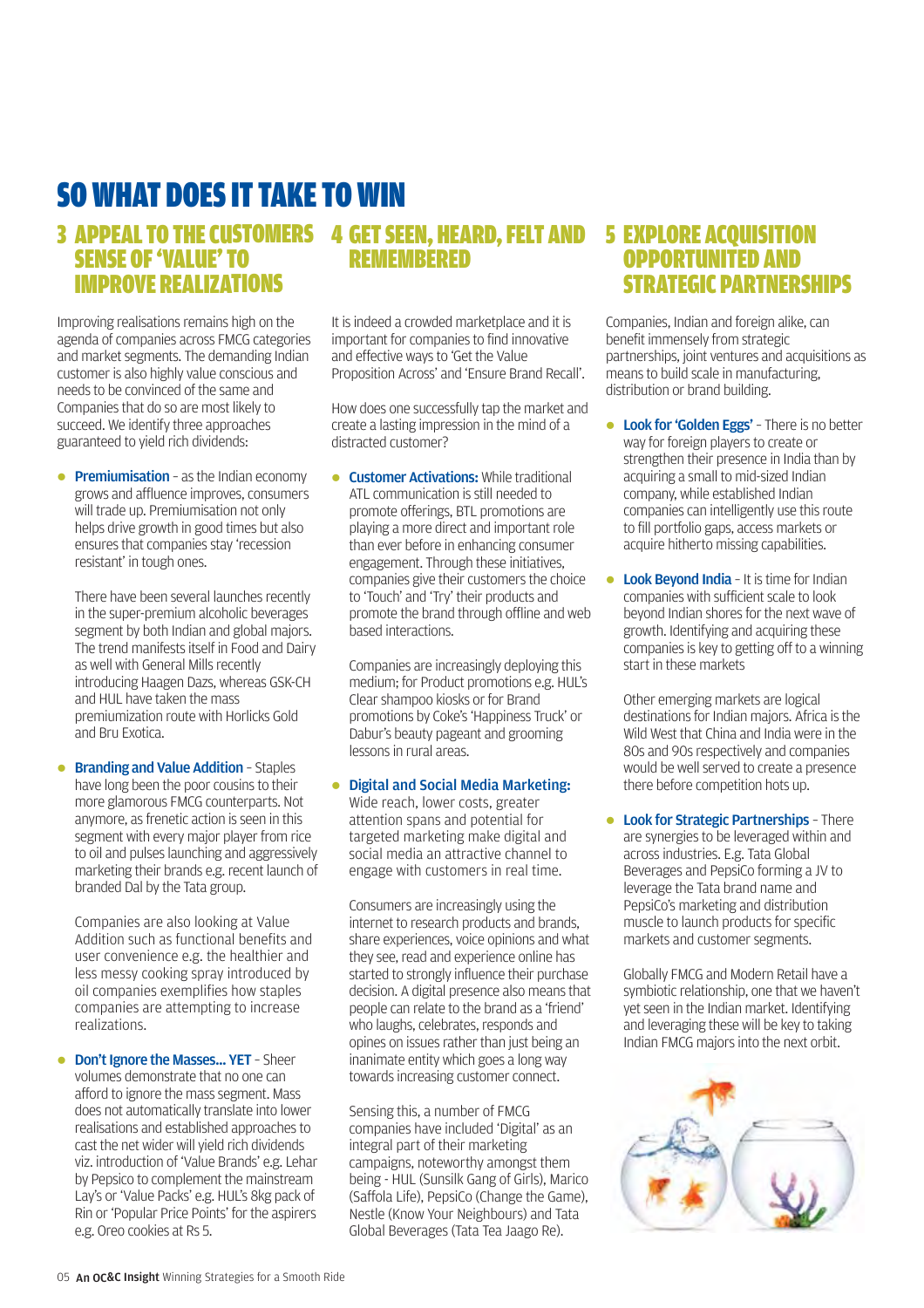### SO WHAT DOES IT TAKE TO WIN

#### 3 APPEAL TO THE CUSTOMERS 4 GET SEEN, HEARD, FELT AND 5 EXPLORE ACQUISITION SENSE OF 'VALUE' TO IMPROVE REALIZATIONS **DEMEMBERED**

Improving realisations remains high on the agenda of companies across FMCG categories and market segments. The demanding Indian customer is also highly value conscious and needs to be convinced of the same and Companies that do so are most likely to succeed. We identify three approaches guaranteed to yield rich dividends:

**• Premiumisation** - as the Indian economy grows and affluence improves, consumers will trade up. Premiumisation not only helps drive growth in good times but also ensures that companies stay 'recession resistant' in tough ones.

There have been several launches recently in the super-premium alcoholic beverages segment by both Indian and global majors. The trend manifests itself in Food and Dairy as well with General Mills recently introducing Haagen Dazs, whereas GSK-CH and HUL have taken the mass premiumization route with Horlicks Gold and Bru Exotica.

**• Branding and Value Addition - Staples** have long been the poor cousins to their more glamorous FMCG counterparts. Not anymore, as frenetic action is seen in this segment with every major player from rice to oil and pulses launching and aggressively marketing their brands e.g. recent launch of branded Dal by the Tata group.

Companies are also looking at Value Addition such as functional benefits and user convenience e.g. the healthier and less messy cooking spray introduced by oil companies exemplifies how staples companies are attempting to increase realizations.

**• Don't Ignore the Masses... YET - Sheer** volumes demonstrate that no one can afford to ignore the mass segment. Mass does not automatically translate into lower realisations and established approaches to cast the net wider will yield rich dividends viz. introduction of 'Value Brands' e.g. Lehar by Pepsico to complement the mainstream Lay's or 'Value Packs' e.g. HUL's 8kg pack of Rin or 'Popular Price Points' for the aspirers e.g. Oreo cookies at Rs 5.

It is indeed a crowded marketplace and it is important for companies to find innovative and effective ways to 'Get the Value Proposition Across' and 'Ensure Brand Recall'.

How does one successfully tap the market and create a lasting impression in the mind of a distracted customer?

**.** Customer Activations: While traditional ATL communication is still needed to promote offerings, BTL promotions are playing a more direct and important role than ever before in enhancing consumer engagement. Through these initiatives, companies give their customers the choice to 'Touch' and 'Try' their products and promote the brand through offline and web based interactions.

Companies are increasingly deploying this medium; for Product promotions e.g. HUL's Clear shampoo kiosks or for Brand promotions by Coke's 'Happiness Truck' or Dabur's beauty pageant and grooming lessons in rural areas.

**• Digital and Social Media Marketing:** Wide reach, lower costs, greater attention spans and potential for targeted marketing make digital and social media an attractive channel to engage with customers in real time.

Consumers are increasingly using the internet to research products and brands, share experiences, voice opinions and what they see, read and experience online has started to strongly influence their purchase decision. A digital presence also means that people can relate to the brand as a 'friend' who laughs, celebrates, responds and opines on issues rather than just being an inanimate entity which goes a long way towards increasing customer connect.

Sensing this, a number of FMCG companies have included 'Digital' as an integral part of their marketing campaigns, noteworthy amongst them being - HUL (Sunsilk Gang of Girls), Marico (Saffola Life), PepsiCo (Change the Game), Nestle (Know Your Neighbours) and Tata Global Beverages (Tata Tea Jaago Re).

### OPPORTUNITED AND STRATEGIC PARTNERSHIPS

Companies, Indian and foreign alike, can benefit immensely from strategic partnerships, joint ventures and acquisitions as means to build scale in manufacturing, distribution or brand building.

- **Look for 'Golden Eggs'** There is no better way for foreign players to create or strengthen their presence in India than by acquiring a small to mid-sized Indian company, while established Indian companies can intelligently use this route to fill portfolio gaps, access markets or acquire hitherto missing capabilities.
- Look Beyond India It is time for Indian companies with sufficient scale to look beyond Indian shores for the next wave of growth. Identifying and acquiring these companies is key to getting off to a winning start in these markets

Other emerging markets are logical destinations for Indian majors. Africa is the Wild West that China and India were in the 80s and 90s respectively and companies would be well served to create a presence there before competition hots up.

**.** Look for Strategic Partnerships - There are synergies to be leveraged within and across industries. E.g. Tata Global Beverages and PepsiCo forming a JV to leverage the Tata brand name and PepsiCo's marketing and distribution muscle to launch products for specific markets and customer segments.

Globally FMCG and Modern Retail have a symbiotic relationship, one that we haven't yet seen in the Indian market. Identifying and leveraging these will be key to taking Indian FMCG majors into the next orbit.

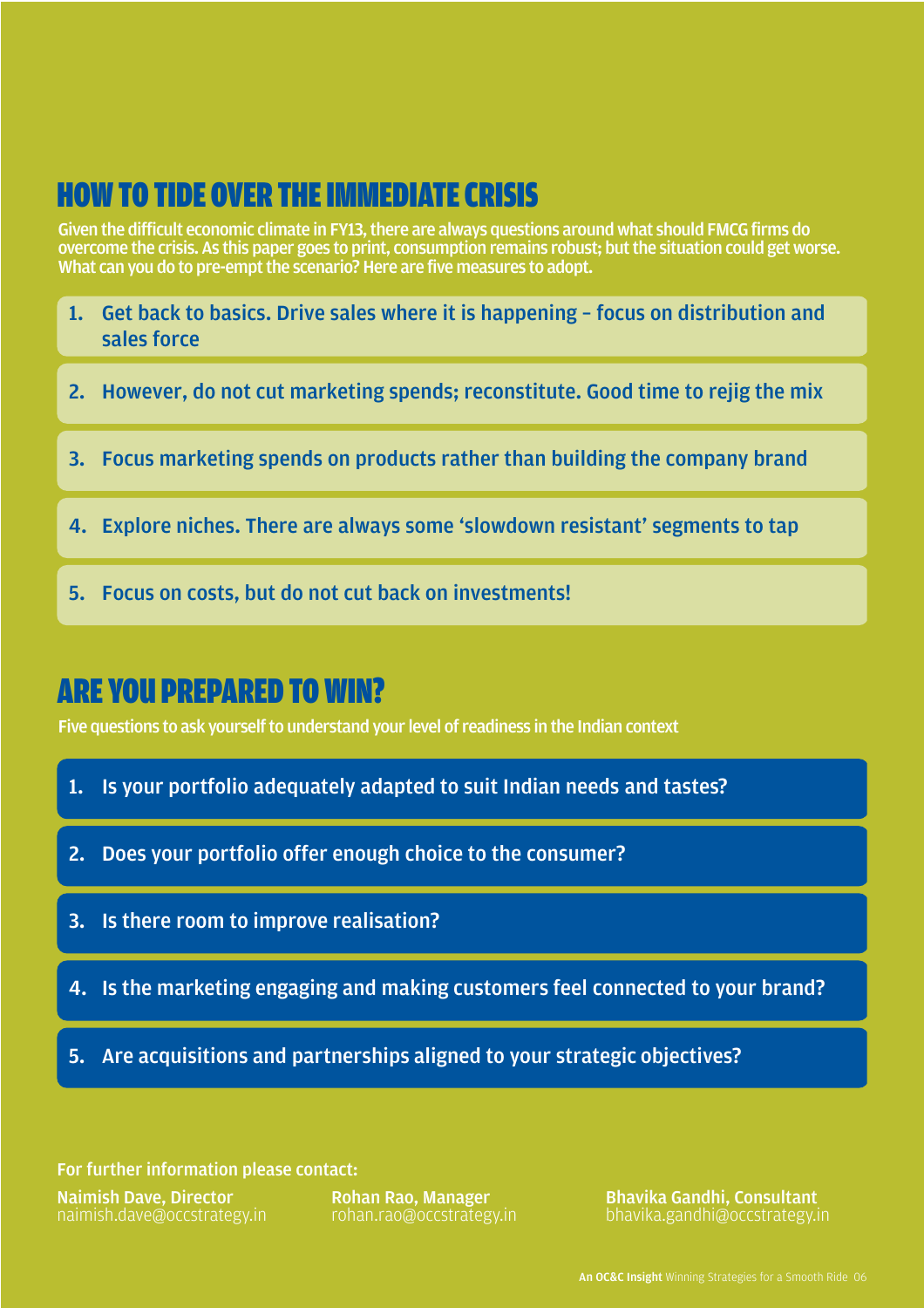### HOW TO TIDE OVER THE IMMEDIATE CRISIS

Given the difficult economic climate in FY13, there are always questions around what should FMCG firms do overcome the crisis. As this paper goes to print, consumption remains robust; but the situation could get worse. What can you do to pre-empt the scenario? Here are five measures to adopt.

- 1. Get back to basics. Drive sales where it is happening focus on distribution and sales force
- 2. However, do not cut marketing spends; reconstitute. Good time to rejig the mix
- 3. Focus marketing spends on products rather than building the company brand
- 4. Explore niches. There are always some 'slowdown resistant' segments to tap
- 5. Focus on costs, but do not cut back on investments!

### ARE YOU PREPARED TO WIN?

Five questions to ask yourself to understand your level of readiness in the Indian context

- 1. Is your portfolio adequately adapted to suit Indian needs and tastes?
- 2. Does your portfolio offer enough choice to the consumer?
- 3. Is there room to improve realisation?
- 4. Is the marketing engaging and making customers feel connected to your brand?
- 5. Are acquisitions and partnerships aligned to your strategic objectives?

For further information please contact:

Naimish Dave, Director naimish.dave@occstrategy.in

Rohan Rao, Manager rohan.rao@occstrategy.in Bhavika Gandhi, Consultant bhavika.gandhi@occstrategy.in